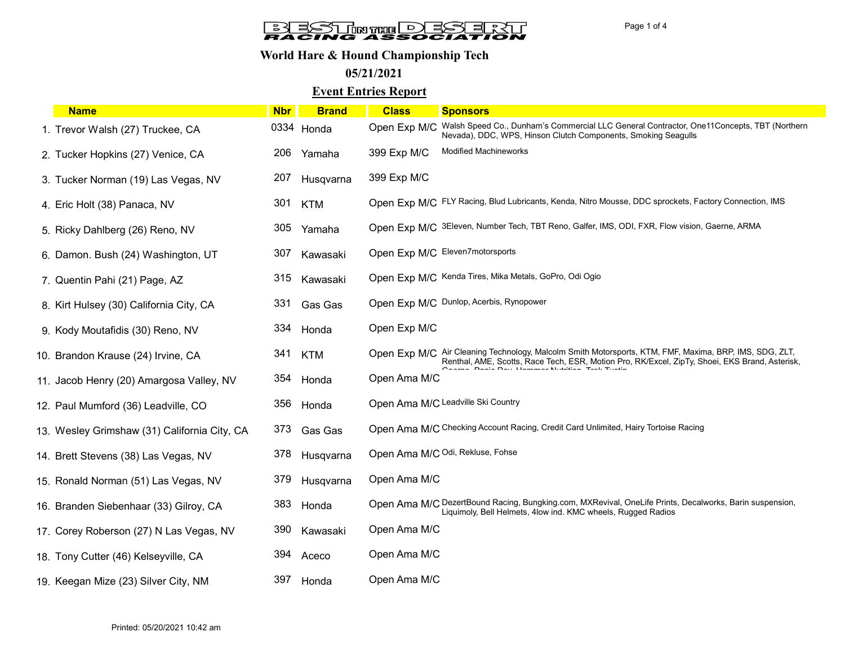# **BLESTINTED BSLERT**

## World Hare & Hound Championship Tech

05/21/2021

### Event Entries Report

| <b>Name</b>                                  | <b>Nbr</b> | <b>Brand</b> | <b>Class</b> | <b>Sponsors</b>                                                                                                                                                                                          |
|----------------------------------------------|------------|--------------|--------------|----------------------------------------------------------------------------------------------------------------------------------------------------------------------------------------------------------|
| 1. Trevor Walsh (27) Truckee, CA             |            | 0334 Honda   |              | Open Exp M/C Walsh Speed Co., Dunham's Commercial LLC General Contractor, One11Concepts, TBT (Northern<br>Nevada), DDC, WPS, Hinson Clutch Components, Smoking Seagulls                                  |
| 2. Tucker Hopkins (27) Venice, CA            | 206        | Yamaha       | 399 Exp M/C  | <b>Modified Machineworks</b>                                                                                                                                                                             |
| 3. Tucker Norman (19) Las Vegas, NV          | 207        | Husqvarna    | 399 Exp M/C  |                                                                                                                                                                                                          |
| 4. Eric Holt (38) Panaca, NV                 | 301        | <b>KTM</b>   |              | Open Exp M/C FLY Racing, Blud Lubricants, Kenda, Nitro Mousse, DDC sprockets, Factory Connection, IMS                                                                                                    |
| 5. Ricky Dahlberg (26) Reno, NV              | 305        | Yamaha       |              | Open Exp M/C 3Eleven, Number Tech, TBT Reno, Galfer, IMS, ODI, FXR, Flow vision, Gaerne, ARMA                                                                                                            |
| 6. Damon. Bush (24) Washington, UT           | 307        | Kawasaki     |              | Open Exp M/C Eleven7motorsports                                                                                                                                                                          |
| 7. Quentin Pahi (21) Page, AZ                | 315        | Kawasaki     |              | Open Exp M/C Kenda Tires, Mika Metals, GoPro, Odi Ogio                                                                                                                                                   |
| 8. Kirt Hulsey (30) California City, CA      | 331        | Gas Gas      |              | Open Exp M/C Dunlop, Acerbis, Rynopower                                                                                                                                                                  |
| 9. Kody Moutafidis (30) Reno, NV             | 334        | Honda        | Open Exp M/C |                                                                                                                                                                                                          |
| 10. Brandon Krause (24) Irvine, CA           | 341        | <b>KTM</b>   |              | Open Exp M/C Air Cleaning Technology, Malcolm Smith Motorsports, KTM, FMF, Maxima, BRP, IMS, SDG, ZLT,<br>Renthal, AME, Scotts, Race Tech, ESR, Motion Pro, RK/Excel, ZipTy, Shoei, EKS Brand, Asterisk, |
| 11. Jacob Henry (20) Amargosa Valley, NV     | 354        | Honda        | Open Ama M/C |                                                                                                                                                                                                          |
| 12. Paul Mumford (36) Leadville, CO          | 356        | Honda        |              | Open Ama M/C Leadville Ski Country                                                                                                                                                                       |
| 13. Wesley Grimshaw (31) California City, CA | 373        | Gas Gas      |              | Open Ama M/C Checking Account Racing, Credit Card Unlimited, Hairy Tortoise Racing                                                                                                                       |
| 14. Brett Stevens (38) Las Vegas, NV         | 378        | Husqvarna    |              | Open Ama M/C Odi, Rekluse, Fohse                                                                                                                                                                         |
| 15. Ronald Norman (51) Las Vegas, NV         | 379        | Husqvarna    | Open Ama M/C |                                                                                                                                                                                                          |
| 16. Branden Siebenhaar (33) Gilroy, CA       | 383        | Honda        |              | Open Ama M/C DezertBound Racing, Bungking.com, MXRevival, OneLife Prints, Decalworks, Barin suspension,<br>Liquimoly, Bell Helmets, 4low ind. KMC wheels, Rugged Radios                                  |
| 17. Corey Roberson (27) N Las Vegas, NV      | 390        | Kawasaki     | Open Ama M/C |                                                                                                                                                                                                          |
| 18. Tony Cutter (46) Kelseyville, CA         | 394        | Aceco        | Open Ama M/C |                                                                                                                                                                                                          |
| 19. Keegan Mize (23) Silver City, NM         | 397        | Honda        | Open Ama M/C |                                                                                                                                                                                                          |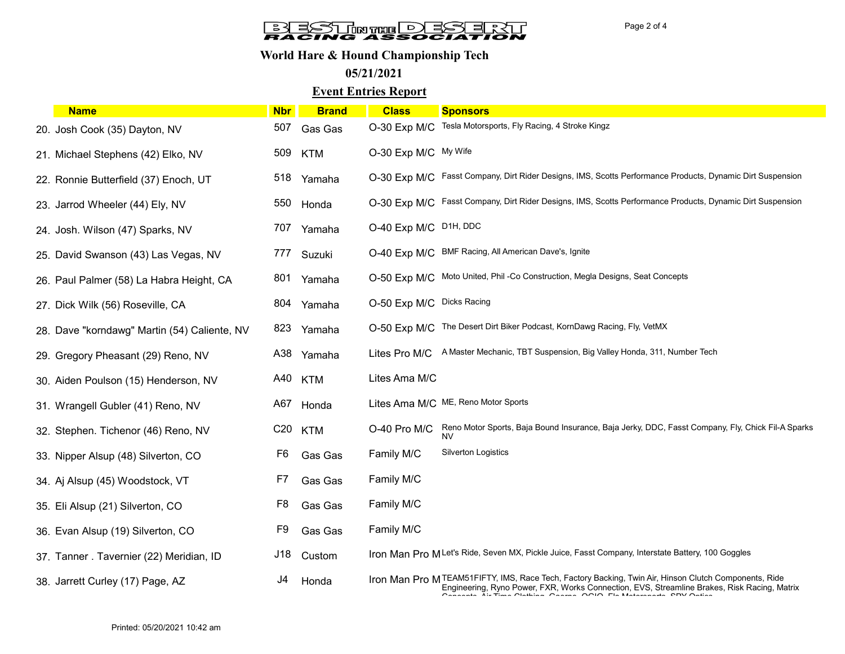# **BLESTINTE DESERVI**

## World Hare & Hound Championship Tech

05/21/2021

## Event Entries Report

| <b>Name</b>                                  | <b>Nbr</b>      | <b>Brand</b> | <b>Class</b>              | <b>Sponsors</b>                                                                                                                                                                                                                                                                                                                                                                                                                                                                                                                      |
|----------------------------------------------|-----------------|--------------|---------------------------|--------------------------------------------------------------------------------------------------------------------------------------------------------------------------------------------------------------------------------------------------------------------------------------------------------------------------------------------------------------------------------------------------------------------------------------------------------------------------------------------------------------------------------------|
| 20. Josh Cook (35) Dayton, NV                | 507             | Gas Gas      | O-30 Exp M/C              | Tesla Motorsports, Fly Racing, 4 Stroke Kingz                                                                                                                                                                                                                                                                                                                                                                                                                                                                                        |
| 21. Michael Stephens (42) Elko, NV           | 509             | <b>KTM</b>   | O-30 Exp M/C My Wife      |                                                                                                                                                                                                                                                                                                                                                                                                                                                                                                                                      |
| 22. Ronnie Butterfield (37) Enoch, UT        | 518             | Yamaha       |                           | O-30 Exp M/C Fasst Company, Dirt Rider Designs, IMS, Scotts Performance Products, Dynamic Dirt Suspension                                                                                                                                                                                                                                                                                                                                                                                                                            |
| 23. Jarrod Wheeler (44) Ely, NV              | 550             | Honda        |                           | O-30 Exp M/C Fasst Company, Dirt Rider Designs, IMS, Scotts Performance Products, Dynamic Dirt Suspension                                                                                                                                                                                                                                                                                                                                                                                                                            |
| 24. Josh. Wilson (47) Sparks, NV             |                 | 707 Yamaha   | O-40 Exp M/C D1H, DDC     |                                                                                                                                                                                                                                                                                                                                                                                                                                                                                                                                      |
| 25. David Swanson (43) Las Vegas, NV         | 777             | Suzuki       |                           | O-40 Exp M/C BMF Racing, All American Dave's, Ignite                                                                                                                                                                                                                                                                                                                                                                                                                                                                                 |
| 26. Paul Palmer (58) La Habra Height, CA     | 801             | Yamaha       |                           | O-50 Exp M/C Moto United, Phil -Co Construction, Megla Designs, Seat Concepts                                                                                                                                                                                                                                                                                                                                                                                                                                                        |
| 27. Dick Wilk (56) Roseville, CA             | 804             | Yamaha       | O-50 Exp M/C Dicks Racing |                                                                                                                                                                                                                                                                                                                                                                                                                                                                                                                                      |
| 28. Dave "korndawg" Martin (54) Caliente, NV | 823             | Yamaha       |                           | O-50 Exp M/C The Desert Dirt Biker Podcast, KornDawg Racing, Fly, VetMX                                                                                                                                                                                                                                                                                                                                                                                                                                                              |
| 29. Gregory Pheasant (29) Reno, NV           | A38             | Yamaha       |                           | Lites Pro M/C A Master Mechanic, TBT Suspension, Big Valley Honda, 311, Number Tech                                                                                                                                                                                                                                                                                                                                                                                                                                                  |
| 30. Aiden Poulson (15) Henderson, NV         | A40             | <b>KTM</b>   | Lites Ama M/C             |                                                                                                                                                                                                                                                                                                                                                                                                                                                                                                                                      |
| 31. Wrangell Gubler (41) Reno, NV            |                 | A67 Honda    |                           | Lites Ama M/C ME, Reno Motor Sports                                                                                                                                                                                                                                                                                                                                                                                                                                                                                                  |
| 32. Stephen. Tichenor (46) Reno, NV          | C <sub>20</sub> | <b>KTM</b>   |                           | O-40 Pro M/C Reno Motor Sports, Baja Bound Insurance, Baja Jerky, DDC, Fasst Company, Fly, Chick Fil-A Sparks<br><b>NV</b>                                                                                                                                                                                                                                                                                                                                                                                                           |
| 33. Nipper Alsup (48) Silverton, CO          | F6              | Gas Gas      | Family M/C                | Silverton Logistics                                                                                                                                                                                                                                                                                                                                                                                                                                                                                                                  |
| 34. Aj Alsup (45) Woodstock, VT              | F7              | Gas Gas      | Family M/C                |                                                                                                                                                                                                                                                                                                                                                                                                                                                                                                                                      |
| 35. Eli Alsup (21) Silverton, CO             | F <sub>8</sub>  | Gas Gas      | Family M/C                |                                                                                                                                                                                                                                                                                                                                                                                                                                                                                                                                      |
| 36. Evan Alsup (19) Silverton, CO            | F9              | Gas Gas      | Family M/C                |                                                                                                                                                                                                                                                                                                                                                                                                                                                                                                                                      |
| 37. Tanner. Tavernier (22) Meridian, ID      | J18             | Custom       |                           | Iron Man Pro MLet's Ride, Seven MX, Pickle Juice, Fasst Company, Interstate Battery, 100 Goggles                                                                                                                                                                                                                                                                                                                                                                                                                                     |
| 38. Jarrett Curley (17) Page, AZ             | J4              | Honda        |                           | Iron Man Pro MTEAM51FIFTY, IMS, Race Tech, Factory Backing, Twin Air, Hinson Clutch Components, Ride<br>Engineering, Ryno Power, FXR, Works Connection, EVS, Streamline Brakes, Risk Racing, Matrix<br>$\bigcap_{i=1}^{n}$ and $\bigcap_{i=1}^{n}$ $\bigcap_{i=1}^{n}$ $\bigcap_{i=1}^{n}$ $\bigcap_{i=1}^{n}$ $\bigcap_{i=1}^{n}$ $\bigcap_{i=1}^{n}$ $\bigcap_{i=1}^{n}$ $\bigcap_{i=1}^{n}$ $\bigcap_{i=1}^{n}$ $\bigcap_{i=1}^{n}$ $\bigcap_{i=1}^{n}$ $\bigcap_{i=1}^{n}$ $\bigcap_{i=1}^{n}$ $\bigcap_{i=1}^{n}$ $\bigcap_{i=$ |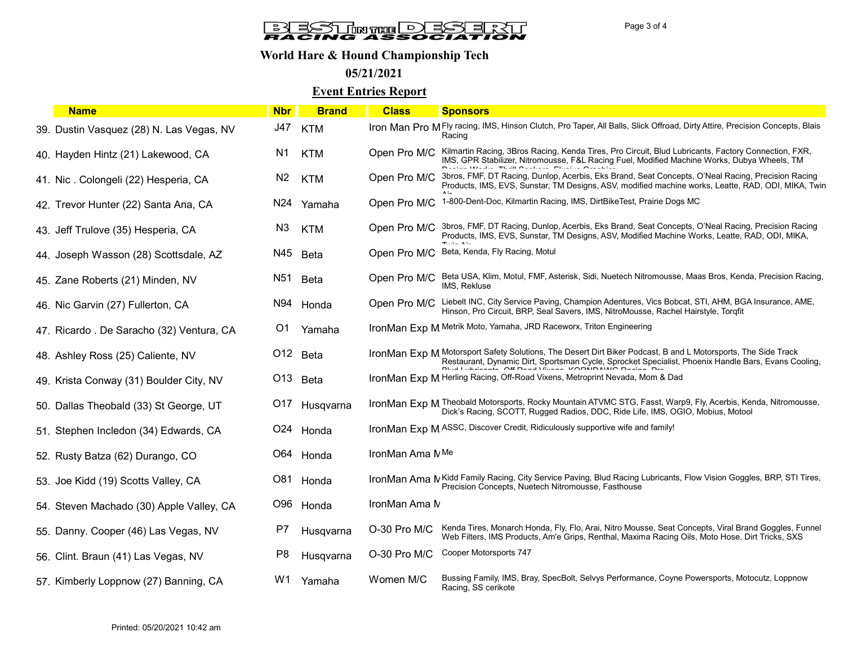# **BLESTINTE DESERVI**

## World Hare & Hound Championship Tech

## 05/21/2021

#### Event Entries Report

| <b>Name</b>                               | <b>Nbr</b>      | <b>Brand</b> | <b>Class</b>    | <b>Sponsors</b>                                                                                                                                                                                                      |
|-------------------------------------------|-----------------|--------------|-----------------|----------------------------------------------------------------------------------------------------------------------------------------------------------------------------------------------------------------------|
| 39. Dustin Vasquez (28) N. Las Vegas, NV  | J47             | <b>KTM</b>   |                 | Iron Man Pro MFIy racing, IMS, Hinson Clutch, Pro Taper, All Balls, Slick Offroad, Dirty Attire, Precision Concepts, Blais<br>Racing                                                                                 |
| 40. Hayden Hintz (21) Lakewood, CA        | N1              | <b>KTM</b>   | Open Pro M/C    | Kilmartin Racing, 3Bros Racing, Kenda Tires, Pro Circuit, Blud Lubricants, Factory Connection, FXR,<br>IMS, GPR Stabilizer, Nitromousse, F&L Racing Fuel, Modified Machine Works, Dubya Wheels, TM                   |
| 41. Nic. Colongeli (22) Hesperia, CA      | N <sub>2</sub>  | <b>KTM</b>   | Open Pro M/C    | 3bros, FMF, DT Racing, Dunlop, Acerbis, Eks Brand, Seat Concepts, O'Neal Racing, Precision Racing<br>Products, IMS, EVS, Sunstar, TM Designs, ASV, modified machine works, Leatte, RAD, ODI, MIKA, Twin              |
| 42. Trevor Hunter (22) Santa Ana, CA      | N <sub>24</sub> | Yamaha       | Open Pro M/C    | 1-800-Dent-Doc, Kilmartin Racing, IMS, DirtBikeTest, Prairie Dogs MC                                                                                                                                                 |
| 43. Jeff Trulove (35) Hesperia, CA        | N <sub>3</sub>  | <b>KTM</b>   | Open Pro M/C    | 3bros, FMF, DT Racing, Dunlop, Acerbis, Eks Brand, Seat Concepts, O'Neal Racing, Precision Racing<br>Products, IMS, EVS, Sunstar, TM Designs, ASV, Modified Machine Works, Leatte, RAD, ODI, MIKA,                   |
| 44. Joseph Wasson (28) Scottsdale, AZ     | N45             | <b>Beta</b>  | Open Pro M/C    | Beta, Kenda, Fly Racing, Motul                                                                                                                                                                                       |
| 45. Zane Roberts (21) Minden, NV          | N <sub>51</sub> | <b>Beta</b>  | Open Pro M/C    | Beta USA, Klim, Motul, FMF, Asterisk, Sidi, Nuetech Nitromousse, Maas Bros, Kenda, Precision Racing,<br>IMS, Rekluse                                                                                                 |
| 46. Nic Garvin (27) Fullerton, CA         | N94             | Honda        | Open Pro M/C    | Liebelt INC, City Service Paving, Champion Adentures, Vics Bobcat, STI, AHM, BGA Insurance, AME,<br>Hinson, Pro Circuit, BRP, Seal Savers, IMS, NitroMousse, Rachel Hairstyle, Torgfit                               |
| 47. Ricardo . De Saracho (32) Ventura, CA | O1              | Yamaha       |                 | IronMan Exp M Metrik Moto, Yamaha, JRD Raceworx, Triton Engineering                                                                                                                                                  |
| 48. Ashley Ross (25) Caliente, NV         |                 | O12 Beta     |                 | IronMan Exp M Motorsport Safety Solutions, The Desert Dirt Biker Podcast, B and L Motorsports, The Side Track<br>Restaurant, Dynamic Dirt, Sportsman Cycle, Sprocket Specialist, Phoenix Handle Bars, Evans Cooling, |
| 49. Krista Conway (31) Boulder City, NV   | O13             | Beta         |                 | IronMan Exp M Herling Racing, Off-Road Vixens, Metroprint Nevada, Mom & Dad                                                                                                                                          |
| 50. Dallas Theobald (33) St George, UT    | O17             | Husqvarna    |                 | IronMan Exp M Theobald Motorsports, Rocky Mountain ATVMC STG, Fasst, Warp9, Fly, Acerbis, Kenda, Nitromousse,<br>Dick's Racing, SCOTT, Rugged Radios, DDC, Ride Life, IMS, OGIO, Mobius, Motool                      |
| 51. Stephen Incledon (34) Edwards, CA     | O24             | Honda        |                 | IronMan Exp M ASSC, Discover Credit, Ridiculously supportive wife and family!                                                                                                                                        |
| 52. Rusty Batza (62) Durango, CO          | O64             | Honda        | IronMan Ama NMe |                                                                                                                                                                                                                      |
| 53. Joe Kidd (19) Scotts Valley, CA       | O81             | Honda        |                 | IronMan Ama N Kidd Family Racing, City Service Paving, Blud Racing Lubricants, Flow Vision Goggles, BRP, STI Tires,<br>Precision Concepts, Nuetech Nitromousse, Fasthouse                                            |
| 54. Steven Machado (30) Apple Valley, CA  | O96             | Honda        | IronMan Ama N   |                                                                                                                                                                                                                      |
| 55. Danny. Cooper (46) Las Vegas, NV      | P7              | Husqvarna    | O-30 Pro M/C    | Kenda Tires, Monarch Honda, Fly, Flo, Arai, Nitro Mousse, Seat Concepts, Viral Brand Goggles, Funnel<br>Web Filters, IMS Products, Am'e Grips, Renthal, Maxima Racing Oils, Moto Hose, Dirt Tricks, SXS              |
| 56. Clint. Braun (41) Las Vegas, NV       | P <sub>8</sub>  | Husqvarna    | $O-30$ Pro M/C  | Cooper Motorsports 747                                                                                                                                                                                               |
| 57. Kimberly Loppnow (27) Banning, CA     | W1              | Yamaha       | Women M/C       | Bussing Family, IMS, Bray, SpecBolt, Selvys Performance, Coyne Powersports, Motocutz, Loppnow<br>Racing, SS cerikote                                                                                                 |